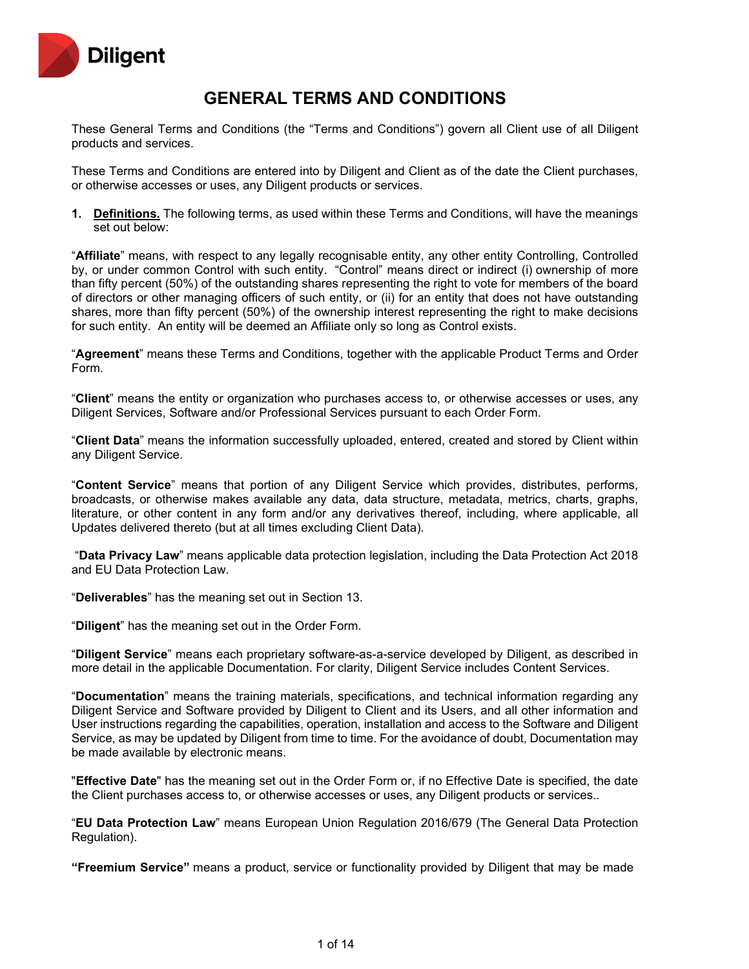

# **GENERAL TERMS AND CONDITIONS**

These General Terms and Conditions (the "Terms and Conditions") govern all Client use of all Diligent products and services.

These Terms and Conditions are entered into by Diligent and Client as of the date the Client purchases, or otherwise accesses or uses, any Diligent products or services.

**1. Definitions.** The following terms, as used within these Terms and Conditions, will have the meanings set out below:

"**Affiliate**" means, with respect to any legally recognisable entity, any other entity Controlling, Controlled by, or under common Control with such entity. "Control" means direct or indirect (i) ownership of more than fifty percent (50%) of the outstanding shares representing the right to vote for members of the board of directors or other managing officers of such entity, or (ii) for an entity that does not have outstanding shares, more than fifty percent (50%) of the ownership interest representing the right to make decisions for such entity. An entity will be deemed an Affiliate only so long as Control exists.

"**Agreement**" means these Terms and Conditions, together with the applicable Product Terms and Order Form.

"**Client**" means the entity or organization who purchases access to, or otherwise accesses or uses, any Diligent Services, Software and/or Professional Services pursuant to each Order Form.

"**Client Data**" means the information successfully uploaded, entered, created and stored by Client within any Diligent Service.

"**Content Service**" means that portion of any Diligent Service which provides, distributes, performs, broadcasts, or otherwise makes available any data, data structure, metadata, metrics, charts, graphs, literature, or other content in any form and/or any derivatives thereof, including, where applicable, all Updates delivered thereto (but at all times excluding Client Data).

"**Data Privacy Law**" means applicable data protection legislation, including the Data Protection Act 2018 and EU Data Protection Law.

"**Deliverables**" has the meaning set out in Section 13.

"**Diligent**" has the meaning set out in the Order Form.

"**Diligent Service**" means each proprietary software-as-a-service developed by Diligent, as described in more detail in the applicable Documentation. For clarity, Diligent Service includes Content Services.

"**Documentation**" means the training materials, specifications, and technical information regarding any Diligent Service and Software provided by Diligent to Client and its Users, and all other information and User instructions regarding the capabilities, operation, installation and access to the Software and Diligent Service, as may be updated by Diligent from time to time. For the avoidance of doubt, Documentation may be made available by electronic means.

"**Effective Date**" has the meaning set out in the Order Form or, if no Effective Date is specified, the date the Client purchases access to, or otherwise accesses or uses, any Diligent products or services..

"**EU Data Protection Law**" means European Union Regulation 2016/679 (The General Data Protection Regulation).

**"Freemium Service"** means a product, service or functionality provided by Diligent that may be made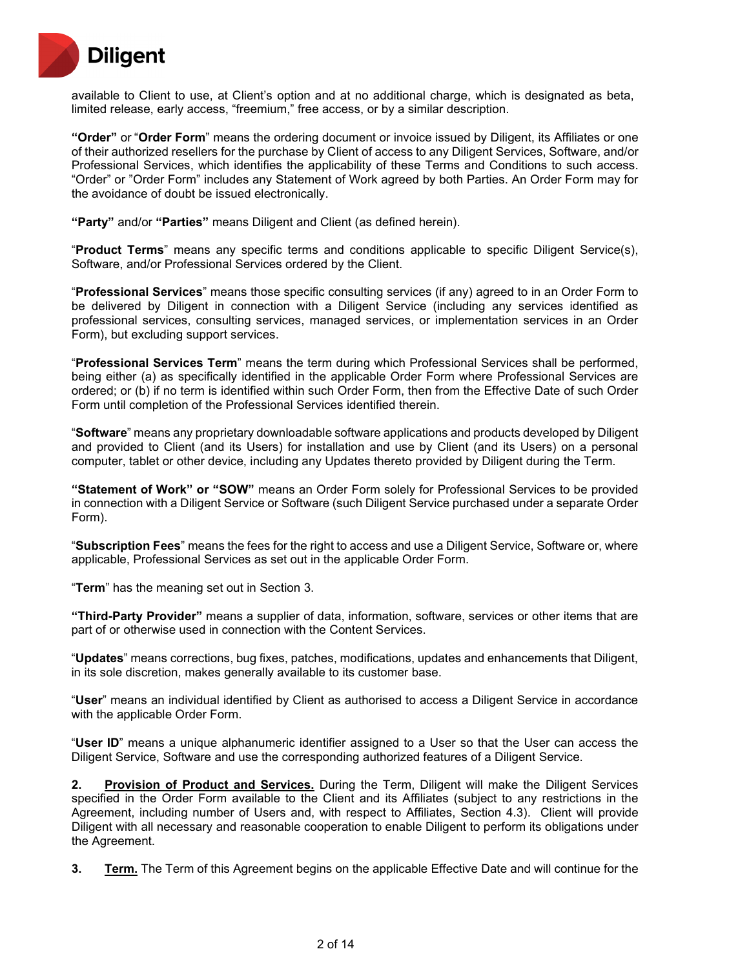

available to Client to use, at Client's option and at no additional charge, which is designated as beta, limited release, early access, "freemium," free access, or by a similar description.

**"Order"** or "**Order Form**" means the ordering document or invoice issued by Diligent, its Affiliates or one of their authorized resellers for the purchase by Client of access to any Diligent Services, Software, and/or Professional Services, which identifies the applicability of these Terms and Conditions to such access. "Order" or "Order Form" includes any Statement of Work agreed by both Parties. An Order Form may for the avoidance of doubt be issued electronically.

**"Party"** and/or **"Parties"** means Diligent and Client (as defined herein).

"**Product Terms**" means any specific terms and conditions applicable to specific Diligent Service(s), Software, and/or Professional Services ordered by the Client.

"**Professional Services**" means those specific consulting services (if any) agreed to in an Order Form to be delivered by Diligent in connection with a Diligent Service (including any services identified as professional services, consulting services, managed services, or implementation services in an Order Form), but excluding support services.

"**Professional Services Term**" means the term during which Professional Services shall be performed, being either (a) as specifically identified in the applicable Order Form where Professional Services are ordered; or (b) if no term is identified within such Order Form, then from the Effective Date of such Order Form until completion of the Professional Services identified therein.

"**Software**" means any proprietary downloadable software applications and products developed by Diligent and provided to Client (and its Users) for installation and use by Client (and its Users) on a personal computer, tablet or other device, including any Updates thereto provided by Diligent during the Term.

**"Statement of Work" or "SOW"** means an Order Form solely for Professional Services to be provided in connection with a Diligent Service or Software (such Diligent Service purchased under a separate Order Form).

"**Subscription Fees**" means the fees for the right to access and use a Diligent Service, Software or, where applicable, Professional Services as set out in the applicable Order Form.

"**Term**" has the meaning set out in Section 3.

**"Third-Party Provider"** means a supplier of data, information, software, services or other items that are part of or otherwise used in connection with the Content Services.

"**Updates**" means corrections, bug fixes, patches, modifications, updates and enhancements that Diligent, in its sole discretion, makes generally available to its customer base.

"**User**" means an individual identified by Client as authorised to access a Diligent Service in accordance with the applicable Order Form.

"**User ID**" means a unique alphanumeric identifier assigned to a User so that the User can access the Diligent Service, Software and use the corresponding authorized features of a Diligent Service.

**2. Provision of Product and Services.** During the Term, Diligent will make the Diligent Services specified in the Order Form available to the Client and its Affiliates (subject to any restrictions in the Agreement, including number of Users and, with respect to Affiliates, Section 4.3). Client will provide Diligent with all necessary and reasonable cooperation to enable Diligent to perform its obligations under the Agreement.

**3. Term.** The Term of this Agreement begins on the applicable Effective Date and will continue for the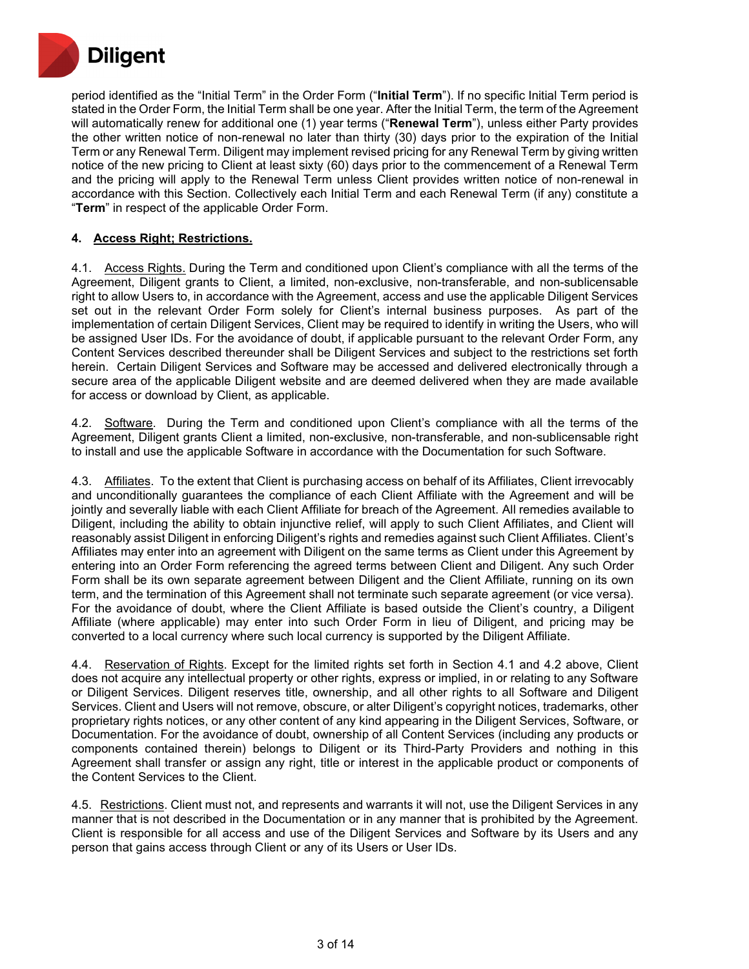

period identified as the "Initial Term" in the Order Form ("**Initial Term**"). If no specific Initial Term period is stated in the Order Form, the Initial Term shall be one year. After the Initial Term, the term of the Agreement will automatically renew for additional one (1) year terms ("**Renewal Term**"), unless either Party provides the other written notice of non-renewal no later than thirty (30) days prior to the expiration of the Initial Term or any Renewal Term. Diligent may implement revised pricing for any Renewal Term by giving written notice of the new pricing to Client at least sixty (60) days prior to the commencement of a Renewal Term and the pricing will apply to the Renewal Term unless Client provides written notice of non-renewal in accordance with this Section. Collectively each Initial Term and each Renewal Term (if any) constitute a "**Term**" in respect of the applicable Order Form.

## **4. Access Right; Restrictions.**

4.1. Access Rights. During the Term and conditioned upon Client's compliance with all the terms of the Agreement, Diligent grants to Client, a limited, non-exclusive, non-transferable, and non-sublicensable right to allow Users to, in accordance with the Agreement, access and use the applicable Diligent Services set out in the relevant Order Form solely for Client's internal business purposes. As part of the implementation of certain Diligent Services, Client may be required to identify in writing the Users, who will be assigned User IDs. For the avoidance of doubt, if applicable pursuant to the relevant Order Form, any Content Services described thereunder shall be Diligent Services and subject to the restrictions set forth herein. Certain Diligent Services and Software may be accessed and delivered electronically through a secure area of the applicable Diligent website and are deemed delivered when they are made available for access or download by Client, as applicable.

4.2. Software. During the Term and conditioned upon Client's compliance with all the terms of the Agreement, Diligent grants Client a limited, non-exclusive, non-transferable, and non-sublicensable right to install and use the applicable Software in accordance with the Documentation for such Software.

4.3. Affiliates. To the extent that Client is purchasing access on behalf of its Affiliates, Client irrevocably and unconditionally guarantees the compliance of each Client Affiliate with the Agreement and will be jointly and severally liable with each Client Affiliate for breach of the Agreement. All remedies available to Diligent, including the ability to obtain injunctive relief, will apply to such Client Affiliates, and Client will reasonably assist Diligent in enforcing Diligent's rights and remedies against such Client Affiliates. Client's Affiliates may enter into an agreement with Diligent on the same terms as Client under this Agreement by entering into an Order Form referencing the agreed terms between Client and Diligent. Any such Order Form shall be its own separate agreement between Diligent and the Client Affiliate, running on its own term, and the termination of this Agreement shall not terminate such separate agreement (or vice versa). For the avoidance of doubt, where the Client Affiliate is based outside the Client's country, a Diligent Affiliate (where applicable) may enter into such Order Form in lieu of Diligent, and pricing may be converted to a local currency where such local currency is supported by the Diligent Affiliate.

4.4. Reservation of Rights. Except for the limited rights set forth in Section 4.1 and 4.2 above, Client does not acquire any intellectual property or other rights, express or implied, in or relating to any Software or Diligent Services. Diligent reserves title, ownership, and all other rights to all Software and Diligent Services. Client and Users will not remove, obscure, or alter Diligent's copyright notices, trademarks, other proprietary rights notices, or any other content of any kind appearing in the Diligent Services, Software, or Documentation. For the avoidance of doubt, ownership of all Content Services (including any products or components contained therein) belongs to Diligent or its Third-Party Providers and nothing in this Agreement shall transfer or assign any right, title or interest in the applicable product or components of the Content Services to the Client.

4.5. Restrictions. Client must not, and represents and warrants it will not, use the Diligent Services in any manner that is not described in the Documentation or in any manner that is prohibited by the Agreement. Client is responsible for all access and use of the Diligent Services and Software by its Users and any person that gains access through Client or any of its Users or User IDs.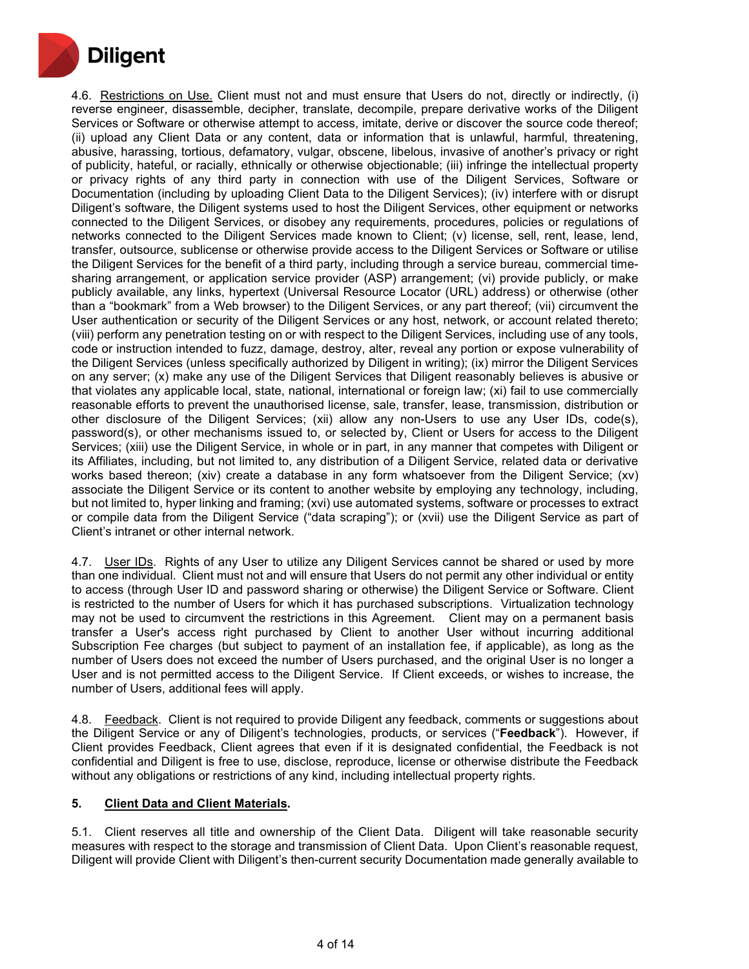

4.6. Restrictions on Use. Client must not and must ensure that Users do not, directly or indirectly, (i) reverse engineer, disassemble, decipher, translate, decompile, prepare derivative works of the Diligent Services or Software or otherwise attempt to access, imitate, derive or discover the source code thereof; (ii) upload any Client Data or any content, data or information that is unlawful, harmful, threatening, abusive, harassing, tortious, defamatory, vulgar, obscene, libelous, invasive of another's privacy or right of publicity, hateful, or racially, ethnically or otherwise objectionable; (iii) infringe the intellectual property or privacy rights of any third party in connection with use of the Diligent Services, Software or Documentation (including by uploading Client Data to the Diligent Services); (iv) interfere with or disrupt Diligent's software, the Diligent systems used to host the Diligent Services, other equipment or networks connected to the Diligent Services, or disobey any requirements, procedures, policies or regulations of networks connected to the Diligent Services made known to Client; (v) license, sell, rent, lease, lend, transfer, outsource, sublicense or otherwise provide access to the Diligent Services or Software or utilise the Diligent Services for the benefit of a third party, including through a service bureau, commercial timesharing arrangement, or application service provider (ASP) arrangement; (vi) provide publicly, or make publicly available, any links, hypertext (Universal Resource Locator (URL) address) or otherwise (other than a "bookmark" from a Web browser) to the Diligent Services, or any part thereof; (vii) circumvent the User authentication or security of the Diligent Services or any host, network, or account related thereto; (viii) perform any penetration testing on or with respect to the Diligent Services, including use of any tools, code or instruction intended to fuzz, damage, destroy, alter, reveal any portion or expose vulnerability of the Diligent Services (unless specifically authorized by Diligent in writing); (ix) mirror the Diligent Services on any server; (x) make any use of the Diligent Services that Diligent reasonably believes is abusive or that violates any applicable local, state, national, international or foreign law; (xi) fail to use commercially reasonable efforts to prevent the unauthorised license, sale, transfer, lease, transmission, distribution or other disclosure of the Diligent Services; (xii) allow any non-Users to use any User IDs, code(s), password(s), or other mechanisms issued to, or selected by, Client or Users for access to the Diligent Services; (xiii) use the Diligent Service, in whole or in part, in any manner that competes with Diligent or its Affiliates, including, but not limited to, any distribution of a Diligent Service, related data or derivative works based thereon; (xiv) create a database in any form whatsoever from the Diligent Service; (xv) associate the Diligent Service or its content to another website by employing any technology, including, but not limited to, hyper linking and framing; (xvi) use automated systems, software or processes to extract or compile data from the Diligent Service ("data scraping"); or (xvii) use the Diligent Service as part of Client's intranet or other internal network.

4.7. User IDs. Rights of any User to utilize any Diligent Services cannot be shared or used by more than one individual. Client must not and will ensure that Users do not permit any other individual or entity to access (through User ID and password sharing or otherwise) the Diligent Service or Software. Client is restricted to the number of Users for which it has purchased subscriptions. Virtualization technology may not be used to circumvent the restrictions in this Agreement. Client may on a permanent basis transfer a User's access right purchased by Client to another User without incurring additional Subscription Fee charges (but subject to payment of an installation fee, if applicable), as long as the number of Users does not exceed the number of Users purchased, and the original User is no longer a User and is not permitted access to the Diligent Service. If Client exceeds, or wishes to increase, the number of Users, additional fees will apply.

4.8. Feedback. Client is not required to provide Diligent any feedback, comments or suggestions about the Diligent Service or any of Diligent's technologies, products, or services ("**Feedback**"). However, if Client provides Feedback, Client agrees that even if it is designated confidential, the Feedback is not confidential and Diligent is free to use, disclose, reproduce, license or otherwise distribute the Feedback without any obligations or restrictions of any kind, including intellectual property rights.

## **5. Client Data and Client Materials.**

5.1. Client reserves all title and ownership of the Client Data. Diligent will take reasonable security measures with respect to the storage and transmission of Client Data. Upon Client's reasonable request, Diligent will provide Client with Diligent's then-current security Documentation made generally available to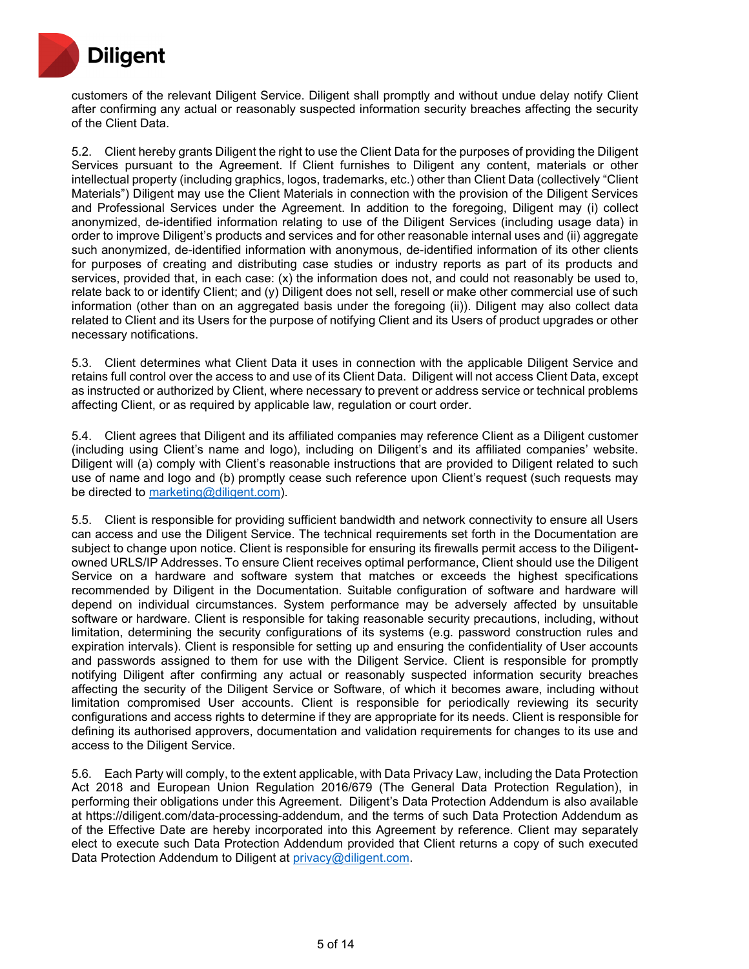

customers of the relevant Diligent Service. Diligent shall promptly and without undue delay notify Client after confirming any actual or reasonably suspected information security breaches affecting the security of the Client Data.

5.2. Client hereby grants Diligent the right to use the Client Data for the purposes of providing the Diligent Services pursuant to the Agreement. If Client furnishes to Diligent any content, materials or other intellectual property (including graphics, logos, trademarks, etc.) other than Client Data (collectively "Client Materials") Diligent may use the Client Materials in connection with the provision of the Diligent Services and Professional Services under the Agreement. In addition to the foregoing, Diligent may (i) collect anonymized, de-identified information relating to use of the Diligent Services (including usage data) in order to improve Diligent's products and services and for other reasonable internal uses and (ii) aggregate such anonymized, de-identified information with anonymous, de-identified information of its other clients for purposes of creating and distributing case studies or industry reports as part of its products and services, provided that, in each case: (x) the information does not, and could not reasonably be used to, relate back to or identify Client; and (y) Diligent does not sell, resell or make other commercial use of such information (other than on an aggregated basis under the foregoing (ii)). Diligent may also collect data related to Client and its Users for the purpose of notifying Client and its Users of product upgrades or other necessary notifications.

5.3. Client determines what Client Data it uses in connection with the applicable Diligent Service and retains full control over the access to and use of its Client Data. Diligent will not access Client Data, except as instructed or authorized by Client, where necessary to prevent or address service or technical problems affecting Client, or as required by applicable law, regulation or court order.

5.4. Client agrees that Diligent and its affiliated companies may reference Client as a Diligent customer (including using Client's name and logo), including on Diligent's and its affiliated companies' website. Diligent will (a) comply with Client's reasonable instructions that are provided to Diligent related to such use of name and logo and (b) promptly cease such reference upon Client's request (such requests may be directed to [marketing@diligent.com\)](mailto:marketing@diligent.com).

5.5. Client is responsible for providing sufficient bandwidth and network connectivity to ensure all Users can access and use the Diligent Service. The technical requirements set forth in the Documentation are subject to change upon notice. Client is responsible for ensuring its firewalls permit access to the Diligentowned URLS/IP Addresses. To ensure Client receives optimal performance, Client should use the Diligent Service on a hardware and software system that matches or exceeds the highest specifications recommended by Diligent in the Documentation. Suitable configuration of software and hardware will depend on individual circumstances. System performance may be adversely affected by unsuitable software or hardware. Client is responsible for taking reasonable security precautions, including, without limitation, determining the security configurations of its systems (e.g. password construction rules and expiration intervals). Client is responsible for setting up and ensuring the confidentiality of User accounts and passwords assigned to them for use with the Diligent Service. Client is responsible for promptly notifying Diligent after confirming any actual or reasonably suspected information security breaches affecting the security of the Diligent Service or Software, of which it becomes aware, including without limitation compromised User accounts. Client is responsible for periodically reviewing its security configurations and access rights to determine if they are appropriate for its needs. Client is responsible for defining its authorised approvers, documentation and validation requirements for changes to its use and access to the Diligent Service.

5.6. Each Party will comply, to the extent applicable, with Data Privacy Law, including the Data Protection Act 2018 and European Union Regulation 2016/679 (The General Data Protection Regulation), in performing their obligations under this Agreement. Diligent's Data Protection Addendum is also available at https://diligent.com/data-processing-addendum, and the terms of such Data Protection Addendum as of the Effective Date are hereby incorporated into this Agreement by reference. Client may separately elect to execute such Data Protection Addendum provided that Client returns a copy of such executed Data Protection Addendum to Diligent at [privacy@diligent.com.](mailto:privacy@diligent.com)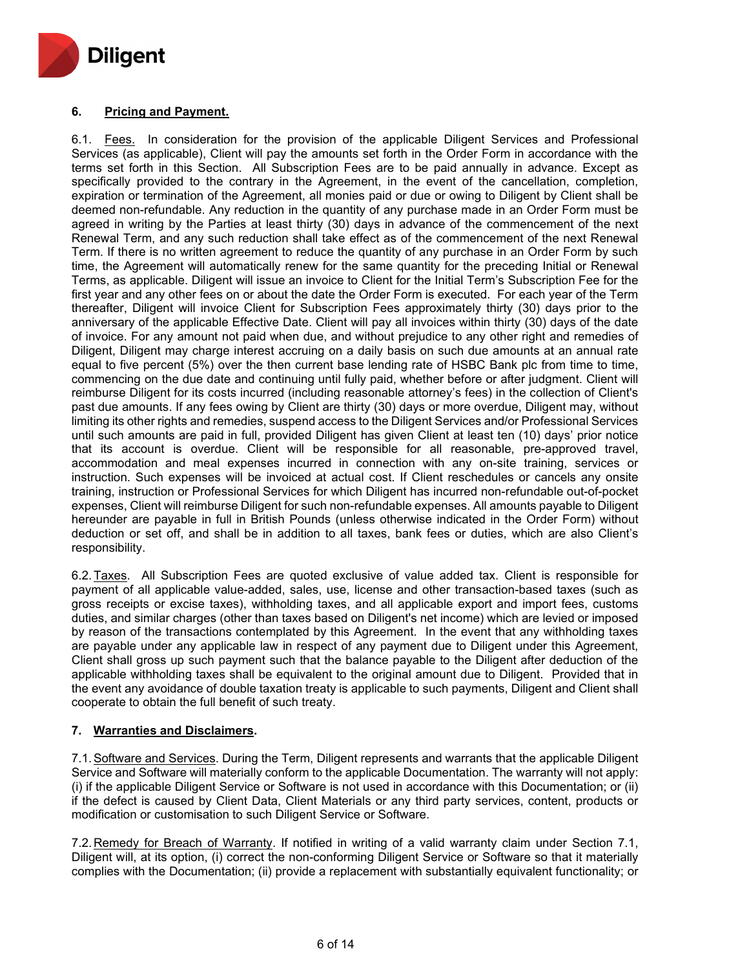

# **6. Pricing and Payment.**

6.1. Fees. In consideration for the provision of the applicable Diligent Services and Professional Services (as applicable), Client will pay the amounts set forth in the Order Form in accordance with the terms set forth in this Section. All Subscription Fees are to be paid annually in advance. Except as specifically provided to the contrary in the Agreement, in the event of the cancellation, completion, expiration or termination of the Agreement, all monies paid or due or owing to Diligent by Client shall be deemed non-refundable. Any reduction in the quantity of any purchase made in an Order Form must be agreed in writing by the Parties at least thirty (30) days in advance of the commencement of the next Renewal Term, and any such reduction shall take effect as of the commencement of the next Renewal Term. If there is no written agreement to reduce the quantity of any purchase in an Order Form by such time, the Agreement will automatically renew for the same quantity for the preceding Initial or Renewal Terms, as applicable. Diligent will issue an invoice to Client for the Initial Term's Subscription Fee for the first year and any other fees on or about the date the Order Form is executed. For each year of the Term thereafter, Diligent will invoice Client for Subscription Fees approximately thirty (30) days prior to the anniversary of the applicable Effective Date. Client will pay all invoices within thirty (30) days of the date of invoice. For any amount not paid when due, and without prejudice to any other right and remedies of Diligent, Diligent may charge interest accruing on a daily basis on such due amounts at an annual rate equal to five percent (5%) over the then current base lending rate of HSBC Bank plc from time to time, commencing on the due date and continuing until fully paid, whether before or after judgment. Client will reimburse Diligent for its costs incurred (including reasonable attorney's fees) in the collection of Client's past due amounts. If any fees owing by Client are thirty (30) days or more overdue, Diligent may, without limiting its other rights and remedies, suspend access to the Diligent Services and/or Professional Services until such amounts are paid in full, provided Diligent has given Client at least ten (10) days' prior notice that its account is overdue. Client will be responsible for all reasonable, pre-approved travel, accommodation and meal expenses incurred in connection with any on-site training, services or instruction. Such expenses will be invoiced at actual cost. If Client reschedules or cancels any onsite training, instruction or Professional Services for which Diligent has incurred non-refundable out-of-pocket expenses, Client will reimburse Diligent for such non-refundable expenses. All amounts payable to Diligent hereunder are payable in full in British Pounds (unless otherwise indicated in the Order Form) without deduction or set off, and shall be in addition to all taxes, bank fees or duties, which are also Client's responsibility.

6.2.Taxes. All Subscription Fees are quoted exclusive of value added tax. Client is responsible for payment of all applicable value-added, sales, use, license and other transaction-based taxes (such as gross receipts or excise taxes), withholding taxes, and all applicable export and import fees, customs duties, and similar charges (other than taxes based on Diligent's net income) which are levied or imposed by reason of the transactions contemplated by this Agreement. In the event that any withholding taxes are payable under any applicable law in respect of any payment due to Diligent under this Agreement, Client shall gross up such payment such that the balance payable to the Diligent after deduction of the applicable withholding taxes shall be equivalent to the original amount due to Diligent. Provided that in the event any avoidance of double taxation treaty is applicable to such payments, Diligent and Client shall cooperate to obtain the full benefit of such treaty.

## **7. Warranties and Disclaimers.**

7.1.Software and Services. During the Term, Diligent represents and warrants that the applicable Diligent Service and Software will materially conform to the applicable Documentation. The warranty will not apply: (i) if the applicable Diligent Service or Software is not used in accordance with this Documentation; or (ii) if the defect is caused by Client Data, Client Materials or any third party services, content, products or modification or customisation to such Diligent Service or Software.

7.2. Remedy for Breach of Warranty. If notified in writing of a valid warranty claim under Section 7.1, Diligent will, at its option, (i) correct the non-conforming Diligent Service or Software so that it materially complies with the Documentation; (ii) provide a replacement with substantially equivalent functionality; or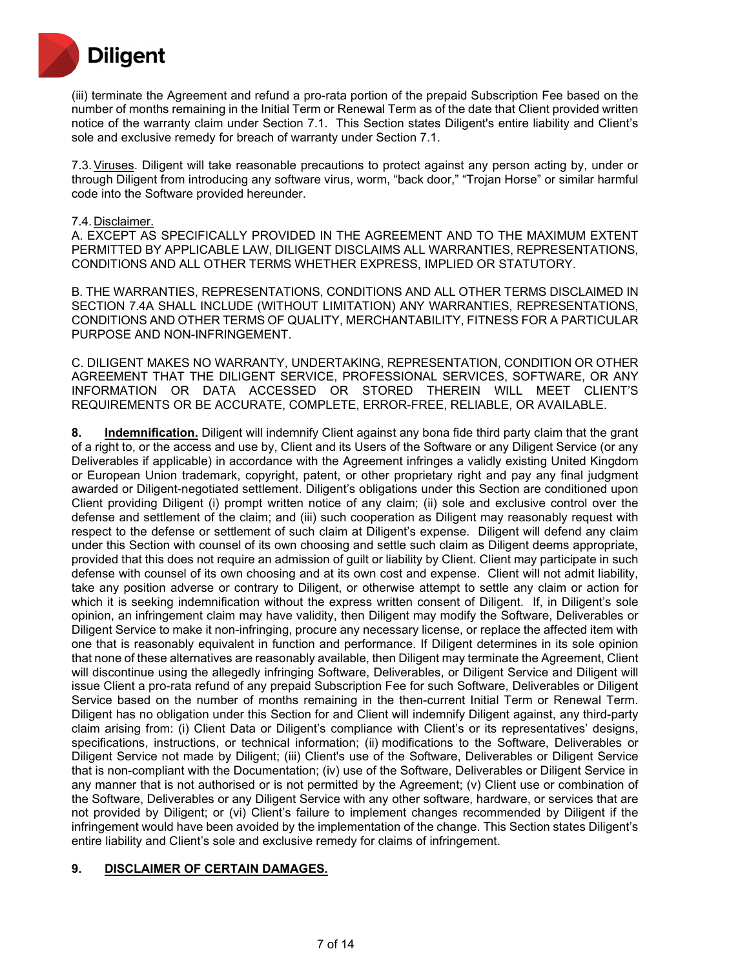

(iii) terminate the Agreement and refund a pro-rata portion of the prepaid Subscription Fee based on the number of months remaining in the Initial Term or Renewal Term as of the date that Client provided written notice of the warranty claim under Section 7.1. This Section states Diligent's entire liability and Client's sole and exclusive remedy for breach of warranty under Section 7.1.

7.3.Viruses. Diligent will take reasonable precautions to protect against any person acting by, under or through Diligent from introducing any software virus, worm, "back door," "Trojan Horse" or similar harmful code into the Software provided hereunder.

#### 7.4. Disclaimer.

A. EXCEPT AS SPECIFICALLY PROVIDED IN THE AGREEMENT AND TO THE MAXIMUM EXTENT PERMITTED BY APPLICABLE LAW, DILIGENT DISCLAIMS ALL WARRANTIES, REPRESENTATIONS, CONDITIONS AND ALL OTHER TERMS WHETHER EXPRESS, IMPLIED OR STATUTORY.

B. THE WARRANTIES, REPRESENTATIONS, CONDITIONS AND ALL OTHER TERMS DISCLAIMED IN SECTION 7.4A SHALL INCLUDE (WITHOUT LIMITATION) ANY WARRANTIES, REPRESENTATIONS, CONDITIONS AND OTHER TERMS OF QUALITY, MERCHANTABILITY, FITNESS FOR A PARTICULAR PURPOSE AND NON-INFRINGEMENT.

C. DILIGENT MAKES NO WARRANTY, UNDERTAKING, REPRESENTATION, CONDITION OR OTHER AGREEMENT THAT THE DILIGENT SERVICE, PROFESSIONAL SERVICES, SOFTWARE, OR ANY INFORMATION OR DATA ACCESSED OR STORED THEREIN WILL MEET CLIENT'S REQUIREMENTS OR BE ACCURATE, COMPLETE, ERROR-FREE, RELIABLE, OR AVAILABLE.

**8. Indemnification.** Diligent will indemnify Client against any bona fide third party claim that the grant of a right to, or the access and use by, Client and its Users of the Software or any Diligent Service (or any Deliverables if applicable) in accordance with the Agreement infringes a validly existing United Kingdom or European Union trademark, copyright, patent, or other proprietary right and pay any final judgment awarded or Diligent-negotiated settlement. Diligent's obligations under this Section are conditioned upon Client providing Diligent (i) prompt written notice of any claim; (ii) sole and exclusive control over the defense and settlement of the claim; and (iii) such cooperation as Diligent may reasonably request with respect to the defense or settlement of such claim at Diligent's expense. Diligent will defend any claim under this Section with counsel of its own choosing and settle such claim as Diligent deems appropriate, provided that this does not require an admission of guilt or liability by Client. Client may participate in such defense with counsel of its own choosing and at its own cost and expense. Client will not admit liability, take any position adverse or contrary to Diligent, or otherwise attempt to settle any claim or action for which it is seeking indemnification without the express written consent of Diligent. If, in Diligent's sole opinion, an infringement claim may have validity, then Diligent may modify the Software, Deliverables or Diligent Service to make it non-infringing, procure any necessary license, or replace the affected item with one that is reasonably equivalent in function and performance. If Diligent determines in its sole opinion that none of these alternatives are reasonably available, then Diligent may terminate the Agreement, Client will discontinue using the allegedly infringing Software, Deliverables, or Diligent Service and Diligent will issue Client a pro-rata refund of any prepaid Subscription Fee for such Software, Deliverables or Diligent Service based on the number of months remaining in the then-current Initial Term or Renewal Term. Diligent has no obligation under this Section for and Client will indemnify Diligent against, any third-party claim arising from: (i) Client Data or Diligent's compliance with Client's or its representatives' designs, specifications, instructions, or technical information; (ii) modifications to the Software, Deliverables or Diligent Service not made by Diligent; (iii) Client's use of the Software, Deliverables or Diligent Service that is non-compliant with the Documentation; (iv) use of the Software, Deliverables or Diligent Service in any manner that is not authorised or is not permitted by the Agreement; (v) Client use or combination of the Software, Deliverables or any Diligent Service with any other software, hardware, or services that are not provided by Diligent; or (vi) Client's failure to implement changes recommended by Diligent if the infringement would have been avoided by the implementation of the change. This Section states Diligent's entire liability and Client's sole and exclusive remedy for claims of infringement.

## **9. DISCLAIMER OF CERTAIN DAMAGES.**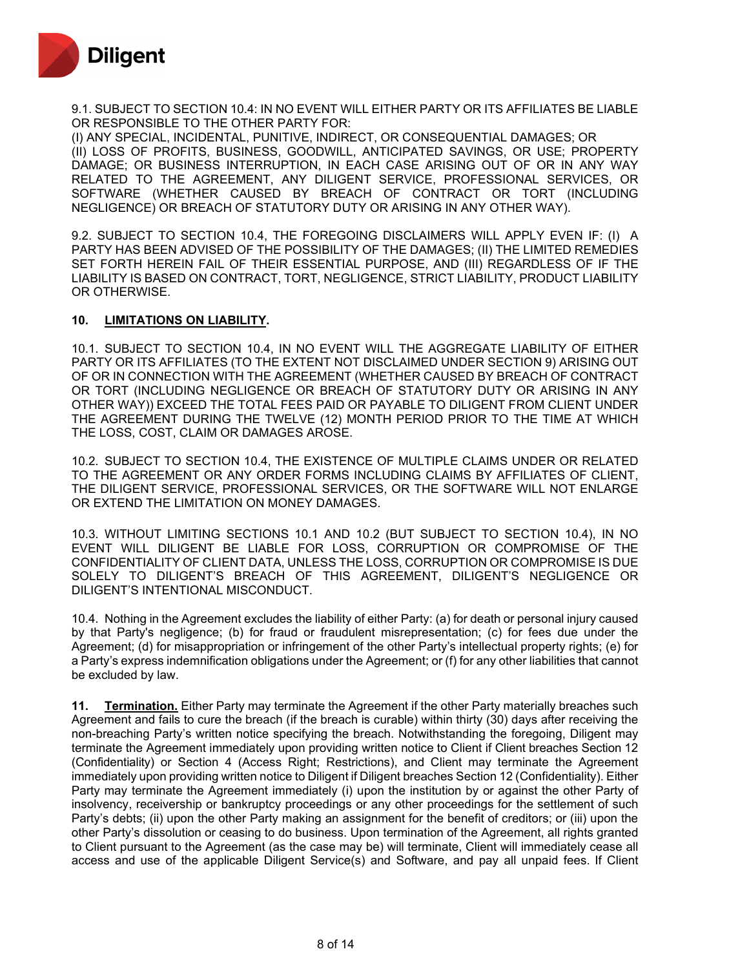

9.1. SUBJECT TO SECTION 10.4: IN NO EVENT WILL EITHER PARTY OR ITS AFFILIATES BE LIABLE OR RESPONSIBLE TO THE OTHER PARTY FOR:

(I) ANY SPECIAL, INCIDENTAL, PUNITIVE, INDIRECT, OR CONSEQUENTIAL DAMAGES; OR (II) LOSS OF PROFITS, BUSINESS, GOODWILL, ANTICIPATED SAVINGS, OR USE; PROPERTY DAMAGE; OR BUSINESS INTERRUPTION, IN EACH CASE ARISING OUT OF OR IN ANY WAY RELATED TO THE AGREEMENT, ANY DILIGENT SERVICE, PROFESSIONAL SERVICES, OR SOFTWARE (WHETHER CAUSED BY BREACH OF CONTRACT OR TORT (INCLUDING NEGLIGENCE) OR BREACH OF STATUTORY DUTY OR ARISING IN ANY OTHER WAY).

9.2. SUBJECT TO SECTION 10.4, THE FOREGOING DISCLAIMERS WILL APPLY EVEN IF: (I) A PARTY HAS BEEN ADVISED OF THE POSSIBILITY OF THE DAMAGES; (II) THE LIMITED REMEDIES SET FORTH HEREIN FAIL OF THEIR ESSENTIAL PURPOSE, AND (III) REGARDLESS OF IF THE LIABILITY IS BASED ON CONTRACT, TORT, NEGLIGENCE, STRICT LIABILITY, PRODUCT LIABILITY OR OTHERWISE.

#### **10. LIMITATIONS ON LIABILITY.**

10.1. SUBJECT TO SECTION 10.4, IN NO EVENT WILL THE AGGREGATE LIABILITY OF EITHER PARTY OR ITS AFFILIATES (TO THE EXTENT NOT DISCLAIMED UNDER SECTION 9) ARISING OUT OF OR IN CONNECTION WITH THE AGREEMENT (WHETHER CAUSED BY BREACH OF CONTRACT OR TORT (INCLUDING NEGLIGENCE OR BREACH OF STATUTORY DUTY OR ARISING IN ANY OTHER WAY)) EXCEED THE TOTAL FEES PAID OR PAYABLE TO DILIGENT FROM CLIENT UNDER THE AGREEMENT DURING THE TWELVE (12) MONTH PERIOD PRIOR TO THE TIME AT WHICH THE LOSS, COST, CLAIM OR DAMAGES AROSE.

10.2. SUBJECT TO SECTION 10.4, THE EXISTENCE OF MULTIPLE CLAIMS UNDER OR RELATED TO THE AGREEMENT OR ANY ORDER FORMS INCLUDING CLAIMS BY AFFILIATES OF CLIENT, THE DILIGENT SERVICE, PROFESSIONAL SERVICES, OR THE SOFTWARE WILL NOT ENLARGE OR EXTEND THE LIMITATION ON MONEY DAMAGES.

10.3. WITHOUT LIMITING SECTIONS 10.1 AND 10.2 (BUT SUBJECT TO SECTION 10.4), IN NO EVENT WILL DILIGENT BE LIABLE FOR LOSS, CORRUPTION OR COMPROMISE OF THE CONFIDENTIALITY OF CLIENT DATA, UNLESS THE LOSS, CORRUPTION OR COMPROMISE IS DUE SOLELY TO DILIGENT'S BREACH OF THIS AGREEMENT, DILIGENT'S NEGLIGENCE OR DILIGENT'S INTENTIONAL MISCONDUCT.

10.4. Nothing in the Agreement excludes the liability of either Party: (a) for death or personal injury caused by that Party's negligence; (b) for fraud or fraudulent misrepresentation; (c) for fees due under the Agreement; (d) for misappropriation or infringement of the other Party's intellectual property rights; (e) for a Party's express indemnification obligations under the Agreement; or (f) for any other liabilities that cannot be excluded by law.

**11. Termination.** Either Party may terminate the Agreement if the other Party materially breaches such Agreement and fails to cure the breach (if the breach is curable) within thirty (30) days after receiving the non-breaching Party's written notice specifying the breach. Notwithstanding the foregoing, Diligent may terminate the Agreement immediately upon providing written notice to Client if Client breaches Section 12 (Confidentiality) or Section 4 (Access Right; Restrictions), and Client may terminate the Agreement immediately upon providing written notice to Diligent if Diligent breaches Section 12 (Confidentiality). Either Party may terminate the Agreement immediately (i) upon the institution by or against the other Party of insolvency, receivership or bankruptcy proceedings or any other proceedings for the settlement of such Party's debts; (ii) upon the other Party making an assignment for the benefit of creditors; or (iii) upon the other Party's dissolution or ceasing to do business. Upon termination of the Agreement, all rights granted to Client pursuant to the Agreement (as the case may be) will terminate, Client will immediately cease all access and use of the applicable Diligent Service(s) and Software, and pay all unpaid fees. If Client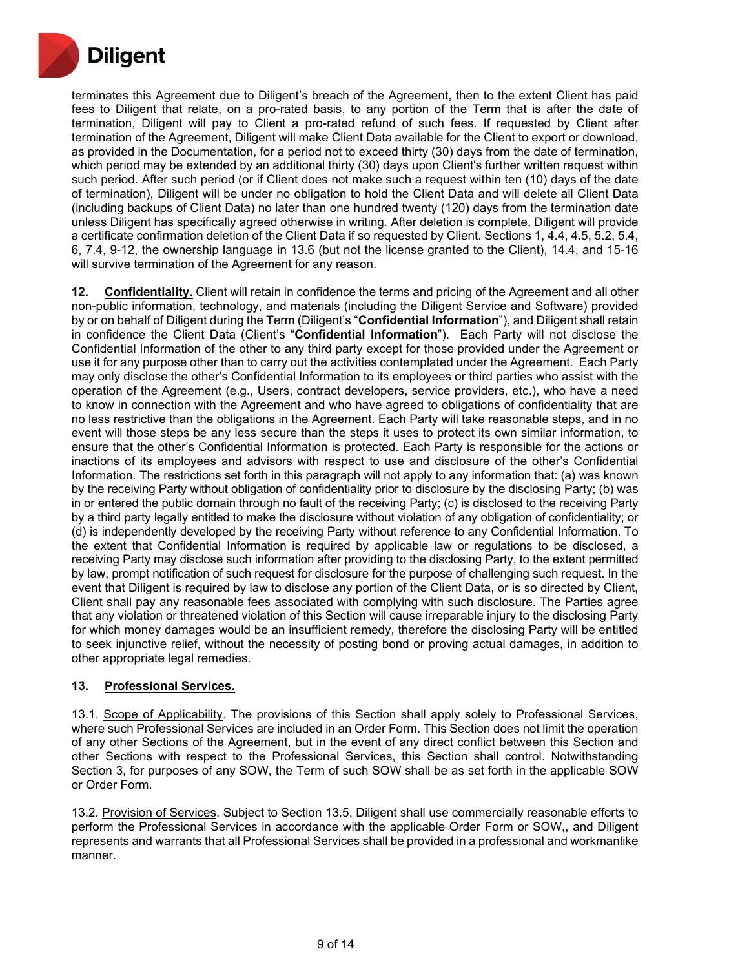

terminates this Agreement due to Diligent's breach of the Agreement, then to the extent Client has paid fees to Diligent that relate, on a pro-rated basis, to any portion of the Term that is after the date of termination, Diligent will pay to Client a pro-rated refund of such fees. If requested by Client after termination of the Agreement, Diligent will make Client Data available for the Client to export or download, as provided in the Documentation, for a period not to exceed thirty (30) days from the date of termination, which period may be extended by an additional thirty (30) days upon Client's further written request within such period. After such period (or if Client does not make such a request within ten (10) days of the date of termination), Diligent will be under no obligation to hold the Client Data and will delete all Client Data (including backups of Client Data) no later than one hundred twenty (120) days from the termination date unless Diligent has specifically agreed otherwise in writing. After deletion is complete, Diligent will provide a certificate confirmation deletion of the Client Data if so requested by Client. Sections 1, 4.4, 4.5, 5.2, 5.4, 6, 7.4, 9-12, the ownership language in 13.6 (but not the license granted to the Client), 14.4, and 15-16 will survive termination of the Agreement for any reason.

**12. Confidentiality.** Client will retain in confidence the terms and pricing of the Agreement and all other non-public information, technology, and materials (including the Diligent Service and Software) provided by or on behalf of Diligent during the Term (Diligent's "**Confidential Information**"), and Diligent shall retain in confidence the Client Data (Client's "**Confidential Information**"). Each Party will not disclose the Confidential Information of the other to any third party except for those provided under the Agreement or use it for any purpose other than to carry out the activities contemplated under the Agreement. Each Party may only disclose the other's Confidential Information to its employees or third parties who assist with the operation of the Agreement (e.g., Users, contract developers, service providers, etc.), who have a need to know in connection with the Agreement and who have agreed to obligations of confidentiality that are no less restrictive than the obligations in the Agreement. Each Party will take reasonable steps, and in no event will those steps be any less secure than the steps it uses to protect its own similar information, to ensure that the other's Confidential Information is protected. Each Party is responsible for the actions or inactions of its employees and advisors with respect to use and disclosure of the other's Confidential Information. The restrictions set forth in this paragraph will not apply to any information that: (a) was known by the receiving Party without obligation of confidentiality prior to disclosure by the disclosing Party; (b) was in or entered the public domain through no fault of the receiving Party; (c) is disclosed to the receiving Party by a third party legally entitled to make the disclosure without violation of any obligation of confidentiality; or (d) is independently developed by the receiving Party without reference to any Confidential Information. To the extent that Confidential Information is required by applicable law or regulations to be disclosed, a receiving Party may disclose such information after providing to the disclosing Party, to the extent permitted by law, prompt notification of such request for disclosure for the purpose of challenging such request. In the event that Diligent is required by law to disclose any portion of the Client Data, or is so directed by Client, Client shall pay any reasonable fees associated with complying with such disclosure. The Parties agree that any violation or threatened violation of this Section will cause irreparable injury to the disclosing Party for which money damages would be an insufficient remedy, therefore the disclosing Party will be entitled to seek injunctive relief, without the necessity of posting bond or proving actual damages, in addition to other appropriate legal remedies.

## **13. Professional Services.**

13.1. Scope of Applicability. The provisions of this Section shall apply solely to Professional Services, where such Professional Services are included in an Order Form. This Section does not limit the operation of any other Sections of the Agreement, but in the event of any direct conflict between this Section and other Sections with respect to the Professional Services, this Section shall control. Notwithstanding Section 3, for purposes of any SOW, the Term of such SOW shall be as set forth in the applicable SOW or Order Form.

13.2. Provision of Services. Subject to Section 13.5, Diligent shall use commercially reasonable efforts to perform the Professional Services in accordance with the applicable Order Form or SOW,, and Diligent represents and warrants that all Professional Services shall be provided in a professional and workmanlike manner.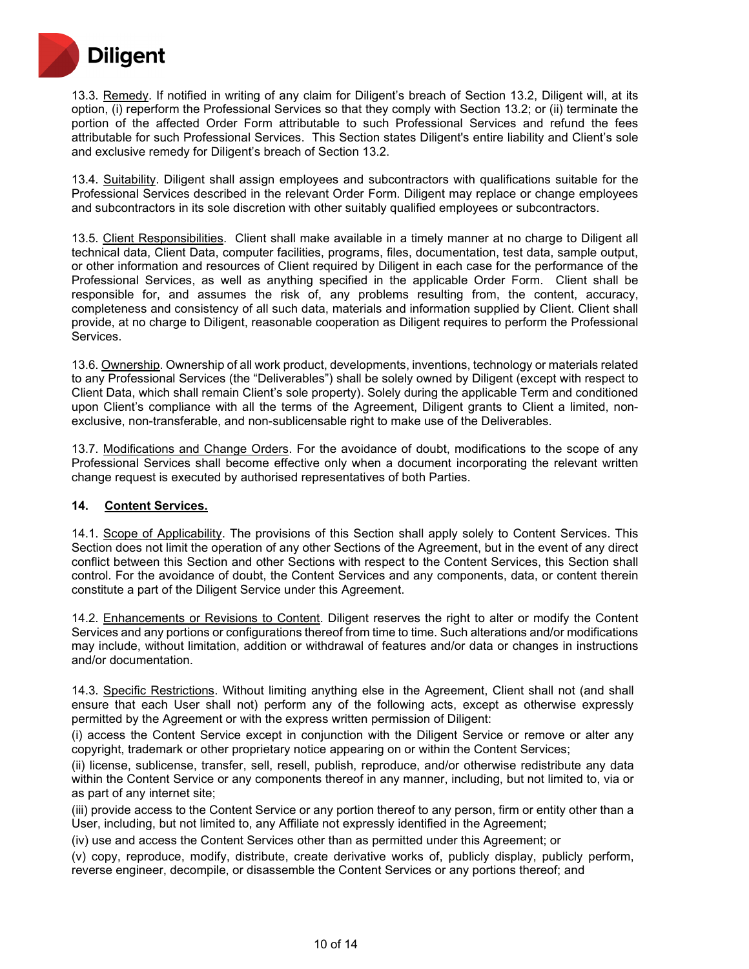

13.3. Remedy. If notified in writing of any claim for Diligent's breach of Section 13.2, Diligent will, at its option, (i) reperform the Professional Services so that they comply with Section 13.2; or (ii) terminate the portion of the affected Order Form attributable to such Professional Services and refund the fees attributable for such Professional Services. This Section states Diligent's entire liability and Client's sole and exclusive remedy for Diligent's breach of Section 13.2.

13.4. Suitability. Diligent shall assign employees and subcontractors with qualifications suitable for the Professional Services described in the relevant Order Form. Diligent may replace or change employees and subcontractors in its sole discretion with other suitably qualified employees or subcontractors.

13.5. Client Responsibilities. Client shall make available in a timely manner at no charge to Diligent all technical data, Client Data, computer facilities, programs, files, documentation, test data, sample output, or other information and resources of Client required by Diligent in each case for the performance of the Professional Services, as well as anything specified in the applicable Order Form. Client shall be responsible for, and assumes the risk of, any problems resulting from, the content, accuracy, completeness and consistency of all such data, materials and information supplied by Client. Client shall provide, at no charge to Diligent, reasonable cooperation as Diligent requires to perform the Professional Services.

13.6. Ownership. Ownership of all work product, developments, inventions, technology or materials related to any Professional Services (the "Deliverables") shall be solely owned by Diligent (except with respect to Client Data, which shall remain Client's sole property). Solely during the applicable Term and conditioned upon Client's compliance with all the terms of the Agreement, Diligent grants to Client a limited, nonexclusive, non-transferable, and non-sublicensable right to make use of the Deliverables.

13.7. Modifications and Change Orders. For the avoidance of doubt, modifications to the scope of any Professional Services shall become effective only when a document incorporating the relevant written change request is executed by authorised representatives of both Parties.

#### **14. Content Services.**

14.1. Scope of Applicability. The provisions of this Section shall apply solely to Content Services. This Section does not limit the operation of any other Sections of the Agreement, but in the event of any direct conflict between this Section and other Sections with respect to the Content Services, this Section shall control. For the avoidance of doubt, the Content Services and any components, data, or content therein constitute a part of the Diligent Service under this Agreement.

14.2. Enhancements or Revisions to Content. Diligent reserves the right to alter or modify the Content Services and any portions or configurations thereof from time to time. Such alterations and/or modifications may include, without limitation, addition or withdrawal of features and/or data or changes in instructions and/or documentation.

14.3. Specific Restrictions. Without limiting anything else in the Agreement, Client shall not (and shall ensure that each User shall not) perform any of the following acts, except as otherwise expressly permitted by the Agreement or with the express written permission of Diligent:

(i) access the Content Service except in conjunction with the Diligent Service or remove or alter any copyright, trademark or other proprietary notice appearing on or within the Content Services;

(ii) license, sublicense, transfer, sell, resell, publish, reproduce, and/or otherwise redistribute any data within the Content Service or any components thereof in any manner, including, but not limited to, via or as part of any internet site;

(iii) provide access to the Content Service or any portion thereof to any person, firm or entity other than a User, including, but not limited to, any Affiliate not expressly identified in the Agreement;

(iv) use and access the Content Services other than as permitted under this Agreement; or

(v) copy, reproduce, modify, distribute, create derivative works of, publicly display, publicly perform, reverse engineer, decompile, or disassemble the Content Services or any portions thereof; and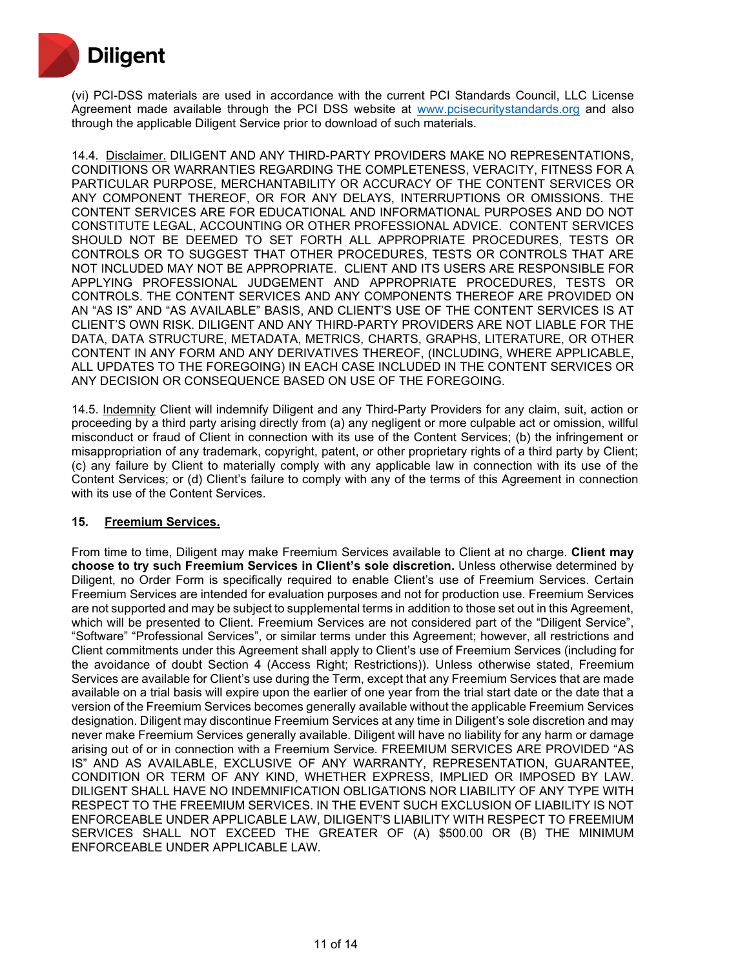

(vi) PCI-DSS materials are used in accordance with the current PCI Standards Council, LLC License Agreement made available through the PCI DSS website at [www.pcisecuritystandards.org](http://www.pcisecuritystandards.org/) and also through the applicable Diligent Service prior to download of such materials.

14.4. Disclaimer. DILIGENT AND ANY THIRD-PARTY PROVIDERS MAKE NO REPRESENTATIONS, CONDITIONS OR WARRANTIES REGARDING THE COMPLETENESS, VERACITY, FITNESS FOR A PARTICULAR PURPOSE, MERCHANTABILITY OR ACCURACY OF THE CONTENT SERVICES OR ANY COMPONENT THEREOF, OR FOR ANY DELAYS, INTERRUPTIONS OR OMISSIONS. THE CONTENT SERVICES ARE FOR EDUCATIONAL AND INFORMATIONAL PURPOSES AND DO NOT CONSTITUTE LEGAL, ACCOUNTING OR OTHER PROFESSIONAL ADVICE. CONTENT SERVICES SHOULD NOT BE DEEMED TO SET FORTH ALL APPROPRIATE PROCEDURES, TESTS OR CONTROLS OR TO SUGGEST THAT OTHER PROCEDURES, TESTS OR CONTROLS THAT ARE NOT INCLUDED MAY NOT BE APPROPRIATE. CLIENT AND ITS USERS ARE RESPONSIBLE FOR APPLYING PROFESSIONAL JUDGEMENT AND APPROPRIATE PROCEDURES, TESTS OR CONTROLS. THE CONTENT SERVICES AND ANY COMPONENTS THEREOF ARE PROVIDED ON AN "AS IS" AND "AS AVAILABLE" BASIS, AND CLIENT'S USE OF THE CONTENT SERVICES IS AT CLIENT'S OWN RISK. DILIGENT AND ANY THIRD-PARTY PROVIDERS ARE NOT LIABLE FOR THE DATA, DATA STRUCTURE, METADATA, METRICS, CHARTS, GRAPHS, LITERATURE, OR OTHER CONTENT IN ANY FORM AND ANY DERIVATIVES THEREOF, (INCLUDING, WHERE APPLICABLE, ALL UPDATES TO THE FOREGOING) IN EACH CASE INCLUDED IN THE CONTENT SERVICES OR ANY DECISION OR CONSEQUENCE BASED ON USE OF THE FOREGOING.

14.5. Indemnity Client will indemnify Diligent and any Third-Party Providers for any claim, suit, action or proceeding by a third party arising directly from (a) any negligent or more culpable act or omission, willful misconduct or fraud of Client in connection with its use of the Content Services; (b) the infringement or misappropriation of any trademark, copyright, patent, or other proprietary rights of a third party by Client; (c) any failure by Client to materially comply with any applicable law in connection with its use of the Content Services; or (d) Client's failure to comply with any of the terms of this Agreement in connection with its use of the Content Services.

## **15. Freemium Services.**

From time to time, Diligent may make Freemium Services available to Client at no charge. **Client may choose to try such Freemium Services in Client's sole discretion.** Unless otherwise determined by Diligent, no Order Form is specifically required to enable Client's use of Freemium Services. Certain Freemium Services are intended for evaluation purposes and not for production use. Freemium Services are not supported and may be subject to supplemental terms in addition to those set out in this Agreement, which will be presented to Client. Freemium Services are not considered part of the "Diligent Service", "Software" "Professional Services", or similar terms under this Agreement; however, all restrictions and Client commitments under this Agreement shall apply to Client's use of Freemium Services (including for the avoidance of doubt Section 4 (Access Right; Restrictions)). Unless otherwise stated, Freemium Services are available for Client's use during the Term, except that any Freemium Services that are made available on a trial basis will expire upon the earlier of one year from the trial start date or the date that a version of the Freemium Services becomes generally available without the applicable Freemium Services designation. Diligent may discontinue Freemium Services at any time in Diligent's sole discretion and may never make Freemium Services generally available. Diligent will have no liability for any harm or damage arising out of or in connection with a Freemium Service. FREEMIUM SERVICES ARE PROVIDED "AS IS" AND AS AVAILABLE, EXCLUSIVE OF ANY WARRANTY, REPRESENTATION, GUARANTEE, CONDITION OR TERM OF ANY KIND, WHETHER EXPRESS, IMPLIED OR IMPOSED BY LAW. DILIGENT SHALL HAVE NO INDEMNIFICATION OBLIGATIONS NOR LIABILITY OF ANY TYPE WITH RESPECT TO THE FREEMIUM SERVICES. IN THE EVENT SUCH EXCLUSION OF LIABILITY IS NOT ENFORCEABLE UNDER APPLICABLE LAW, DILIGENT'S LIABILITY WITH RESPECT TO FREEMIUM SERVICES SHALL NOT EXCEED THE GREATER OF (A) \$500.00 OR (B) THE MINIMUM ENFORCEABLE UNDER APPLICABLE LAW.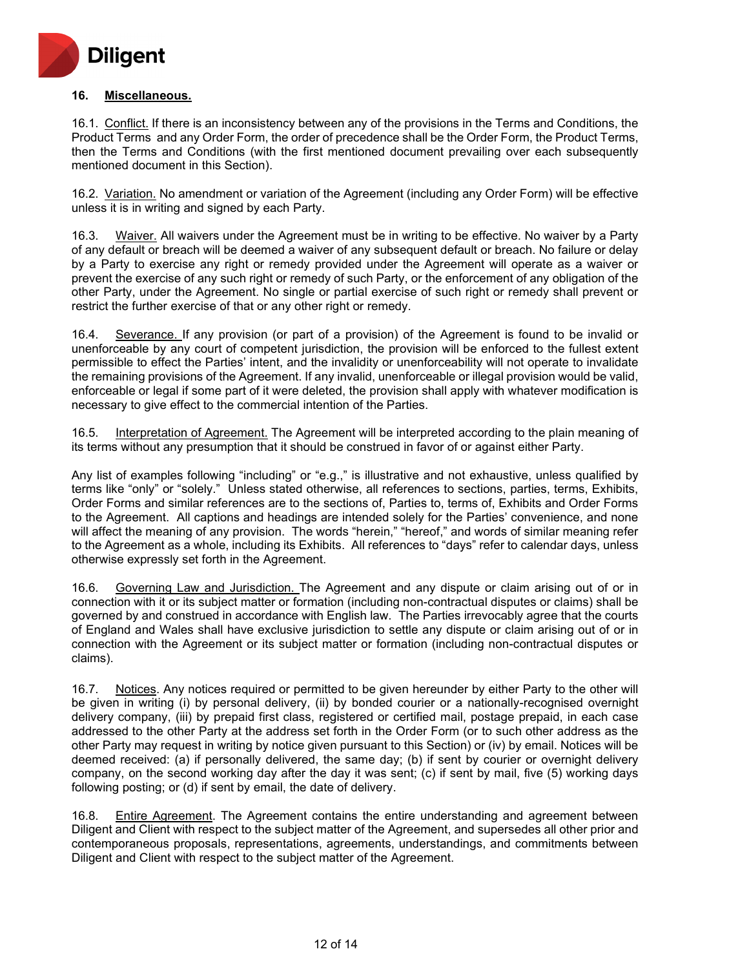

### **16. Miscellaneous.**

16.1. Conflict. If there is an inconsistency between any of the provisions in the Terms and Conditions, the Product Terms and any Order Form, the order of precedence shall be the Order Form, the Product Terms, then the Terms and Conditions (with the first mentioned document prevailing over each subsequently mentioned document in this Section).

16.2. Variation. No amendment or variation of the Agreement (including any Order Form) will be effective unless it is in writing and signed by each Party.

16.3. Waiver. All waivers under the Agreement must be in writing to be effective. No waiver by a Party of any default or breach will be deemed a waiver of any subsequent default or breach. No failure or delay by a Party to exercise any right or remedy provided under the Agreement will operate as a waiver or prevent the exercise of any such right or remedy of such Party, or the enforcement of any obligation of the other Party, under the Agreement. No single or partial exercise of such right or remedy shall prevent or restrict the further exercise of that or any other right or remedy.

16.4. Severance. If any provision (or part of a provision) of the Agreement is found to be invalid or unenforceable by any court of competent jurisdiction, the provision will be enforced to the fullest extent permissible to effect the Parties' intent, and the invalidity or unenforceability will not operate to invalidate the remaining provisions of the Agreement. If any invalid, unenforceable or illegal provision would be valid, enforceable or legal if some part of it were deleted, the provision shall apply with whatever modification is necessary to give effect to the commercial intention of the Parties.

16.5. Interpretation of Agreement. The Agreement will be interpreted according to the plain meaning of its terms without any presumption that it should be construed in favor of or against either Party.

Any list of examples following "including" or "e.g.," is illustrative and not exhaustive, unless qualified by terms like "only" or "solely." Unless stated otherwise, all references to sections, parties, terms, Exhibits, Order Forms and similar references are to the sections of, Parties to, terms of, Exhibits and Order Forms to the Agreement. All captions and headings are intended solely for the Parties' convenience, and none will affect the meaning of any provision. The words "herein," "hereof," and words of similar meaning refer to the Agreement as a whole, including its Exhibits. All references to "days" refer to calendar days, unless otherwise expressly set forth in the Agreement.

16.6. Governing Law and Jurisdiction. The Agreement and any dispute or claim arising out of or in connection with it or its subject matter or formation (including non-contractual disputes or claims) shall be governed by and construed in accordance with English law. The Parties irrevocably agree that the courts of England and Wales shall have exclusive jurisdiction to settle any dispute or claim arising out of or in connection with the Agreement or its subject matter or formation (including non-contractual disputes or claims).

16.7. Notices. Any notices required or permitted to be given hereunder by either Party to the other will be given in writing (i) by personal delivery, (ii) by bonded courier or a nationally-recognised overnight delivery company, (iii) by prepaid first class, registered or certified mail, postage prepaid, in each case addressed to the other Party at the address set forth in the Order Form (or to such other address as the other Party may request in writing by notice given pursuant to this Section) or (iv) by email. Notices will be deemed received: (a) if personally delivered, the same day; (b) if sent by courier or overnight delivery company, on the second working day after the day it was sent; (c) if sent by mail, five (5) working days following posting; or (d) if sent by email, the date of delivery.

16.8. Entire Agreement. The Agreement contains the entire understanding and agreement between Diligent and Client with respect to the subject matter of the Agreement, and supersedes all other prior and contemporaneous proposals, representations, agreements, understandings, and commitments between Diligent and Client with respect to the subject matter of the Agreement.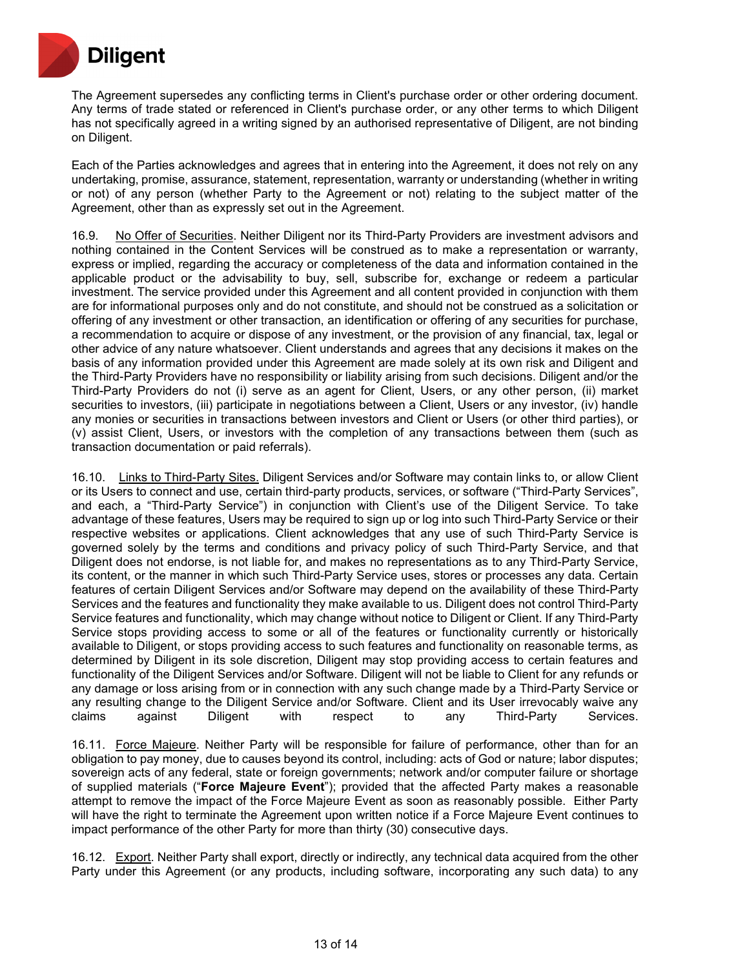

The Agreement supersedes any conflicting terms in Client's purchase order or other ordering document. Any terms of trade stated or referenced in Client's purchase order, or any other terms to which Diligent has not specifically agreed in a writing signed by an authorised representative of Diligent, are not binding on Diligent.

Each of the Parties acknowledges and agrees that in entering into the Agreement, it does not rely on any undertaking, promise, assurance, statement, representation, warranty or understanding (whether in writing or not) of any person (whether Party to the Agreement or not) relating to the subject matter of the Agreement, other than as expressly set out in the Agreement.

16.9. No Offer of Securities. Neither Diligent nor its Third-Party Providers are investment advisors and nothing contained in the Content Services will be construed as to make a representation or warranty, express or implied, regarding the accuracy or completeness of the data and information contained in the applicable product or the advisability to buy, sell, subscribe for, exchange or redeem a particular investment. The service provided under this Agreement and all content provided in conjunction with them are for informational purposes only and do not constitute, and should not be construed as a solicitation or offering of any investment or other transaction, an identification or offering of any securities for purchase, a recommendation to acquire or dispose of any investment, or the provision of any financial, tax, legal or other advice of any nature whatsoever. Client understands and agrees that any decisions it makes on the basis of any information provided under this Agreement are made solely at its own risk and Diligent and the Third-Party Providers have no responsibility or liability arising from such decisions. Diligent and/or the Third-Party Providers do not (i) serve as an agent for Client, Users, or any other person, (ii) market securities to investors, (iii) participate in negotiations between a Client, Users or any investor, (iv) handle any monies or securities in transactions between investors and Client or Users (or other third parties), or (v) assist Client, Users, or investors with the completion of any transactions between them (such as transaction documentation or paid referrals).

16.10. Links to Third-Party Sites. Diligent Services and/or Software may contain links to, or allow Client or its Users to connect and use, certain third-party products, services, or software ("Third-Party Services", and each, a "Third-Party Service") in conjunction with Client's use of the Diligent Service. To take advantage of these features, Users may be required to sign up or log into such Third-Party Service or their respective websites or applications. Client acknowledges that any use of such Third-Party Service is governed solely by the terms and conditions and privacy policy of such Third-Party Service, and that Diligent does not endorse, is not liable for, and makes no representations as to any Third-Party Service, its content, or the manner in which such Third-Party Service uses, stores or processes any data. Certain features of certain Diligent Services and/or Software may depend on the availability of these Third-Party Services and the features and functionality they make available to us. Diligent does not control Third-Party Service features and functionality, which may change without notice to Diligent or Client. If any Third-Party Service stops providing access to some or all of the features or functionality currently or historically available to Diligent, or stops providing access to such features and functionality on reasonable terms, as determined by Diligent in its sole discretion, Diligent may stop providing access to certain features and functionality of the Diligent Services and/or Software. Diligent will not be liable to Client for any refunds or any damage or loss arising from or in connection with any such change made by a Third-Party Service or any resulting change to the Diligent Service and/or Software. Client and its User irrevocably waive any claims against Diligent with respect to any Third-Party Services.

16.11. Force Majeure. Neither Party will be responsible for failure of performance, other than for an obligation to pay money, due to causes beyond its control, including: acts of God or nature; labor disputes; sovereign acts of any federal, state or foreign governments; network and/or computer failure or shortage of supplied materials ("**Force Majeure Event**"); provided that the affected Party makes a reasonable attempt to remove the impact of the Force Majeure Event as soon as reasonably possible. Either Party will have the right to terminate the Agreement upon written notice if a Force Majeure Event continues to impact performance of the other Party for more than thirty (30) consecutive days.

16.12. Export. Neither Party shall export, directly or indirectly, any technical data acquired from the other Party under this Agreement (or any products, including software, incorporating any such data) to any